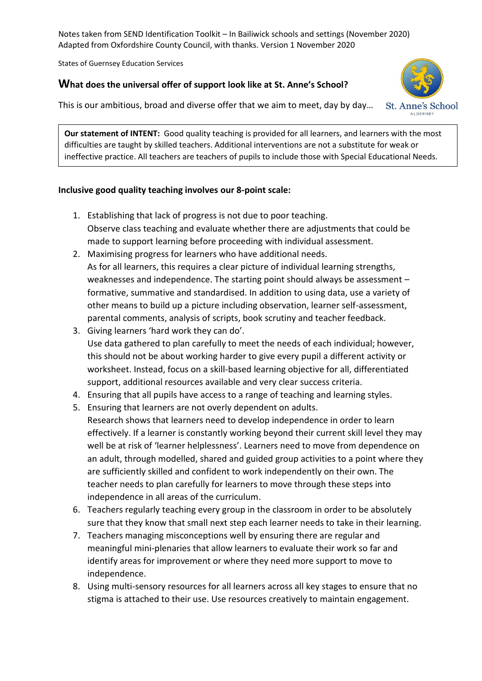Notes taken from SEND Identification Toolkit – In Bailiwick schools and settings (November 2020) Adapted from Oxfordshire County Council, with thanks. Version 1 November 2020

States of Guernsey Education Services

## **What does the universal offer of support look like at St. Anne's School?**

This is our ambitious, broad and diverse offer that we aim to meet, day by day…



**Our statement of INTENT:** Good quality teaching is provided for all learners, and learners with the most difficulties are taught by skilled teachers. Additional interventions are not a substitute for weak or ineffective practice. All teachers are teachers of pupils to include those with Special Educational Needs.

## **Inclusive good quality teaching involves our 8-point scale:**

- 1. Establishing that lack of progress is not due to poor teaching. Observe class teaching and evaluate whether there are adjustments that could be made to support learning before proceeding with individual assessment.
- 2. Maximising progress for learners who have additional needs. As for all learners, this requires a clear picture of individual learning strengths, weaknesses and independence. The starting point should always be assessment – formative, summative and standardised. In addition to using data, use a variety of other means to build up a picture including observation, learner self-assessment, parental comments, analysis of scripts, book scrutiny and teacher feedback.
- 3. Giving learners 'hard work they can do'. Use data gathered to plan carefully to meet the needs of each individual; however, this should not be about working harder to give every pupil a different activity or worksheet. Instead, focus on a skill-based learning objective for all, differentiated support, additional resources available and very clear success criteria.
- 4. Ensuring that all pupils have access to a range of teaching and learning styles.
- 5. Ensuring that learners are not overly dependent on adults.
- Research shows that learners need to develop independence in order to learn effectively. If a learner is constantly working beyond their current skill level they may well be at risk of 'learner helplessness'. Learners need to move from dependence on an adult, through modelled, shared and guided group activities to a point where they are sufficiently skilled and confident to work independently on their own. The teacher needs to plan carefully for learners to move through these steps into independence in all areas of the curriculum.
- 6. Teachers regularly teaching every group in the classroom in order to be absolutely sure that they know that small next step each learner needs to take in their learning.
- 7. Teachers managing misconceptions well by ensuring there are regular and meaningful mini-plenaries that allow learners to evaluate their work so far and identify areas for improvement or where they need more support to move to independence.
- 8. Using multi-sensory resources for all learners across all key stages to ensure that no stigma is attached to their use. Use resources creatively to maintain engagement.